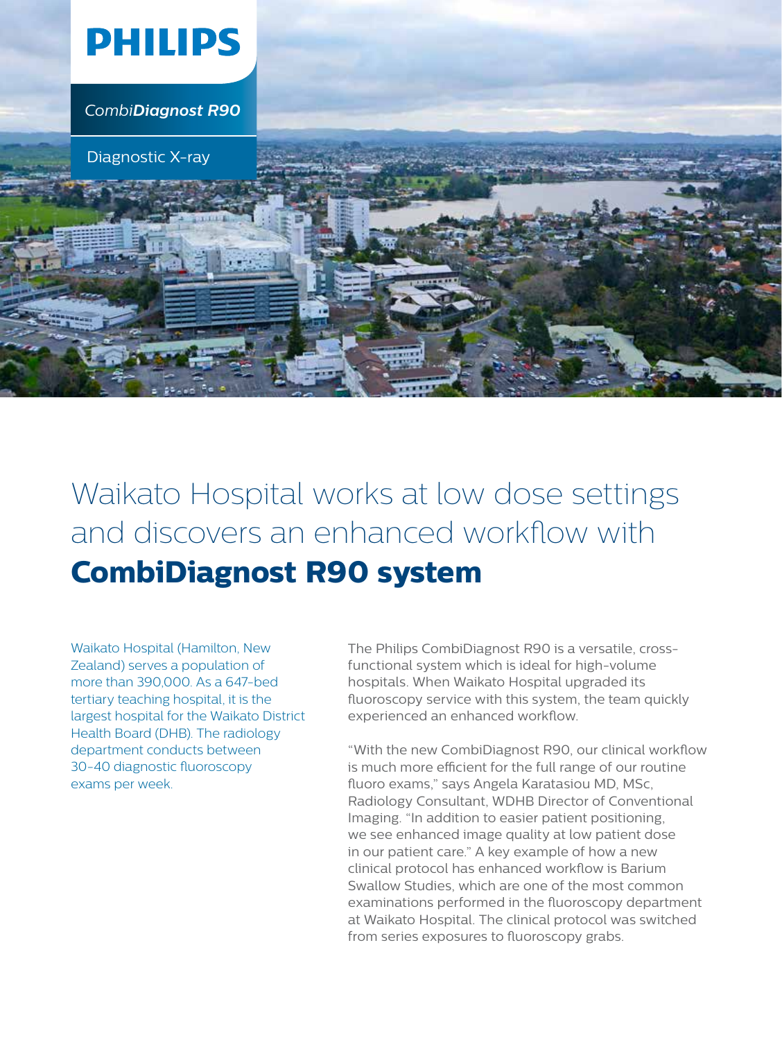

*CombiDiagnost R90*

Diagnostic X-ray

Waikato Hospital works at low dose settings and discovers an enhanced workflow with **CombiDiagnost R90 system**

Waikato Hospital (Hamilton, New Zealand) serves a population of more than 390,000. As a 647-bed tertiary teaching hospital, it is the largest hospital for the Waikato District Health Board (DHB). The radiology department conducts between 30-40 diagnostic fluoroscopy exams per week.

The Philips CombiDiagnost R90 is a versatile, crossfunctional system which is ideal for high-volume hospitals. When Waikato Hospital upgraded its fluoroscopy service with this system, the team quickly experienced an enhanced workflow.

"With the new CombiDiagnost R90, our clinical workflow is much more efficient for the full range of our routine fluoro exams," says Angela Karatasiou MD, MSc, Radiology Consultant, WDHB Director of Conventional Imaging. "In addition to easier patient positioning, we see enhanced image quality at low patient dose in our patient care." A key example of how a new clinical protocol has enhanced workflow is Barium Swallow Studies, which are one of the most common examinations performed in the fluoroscopy department at Waikato Hospital. The clinical protocol was switched from series exposures to fluoroscopy grabs.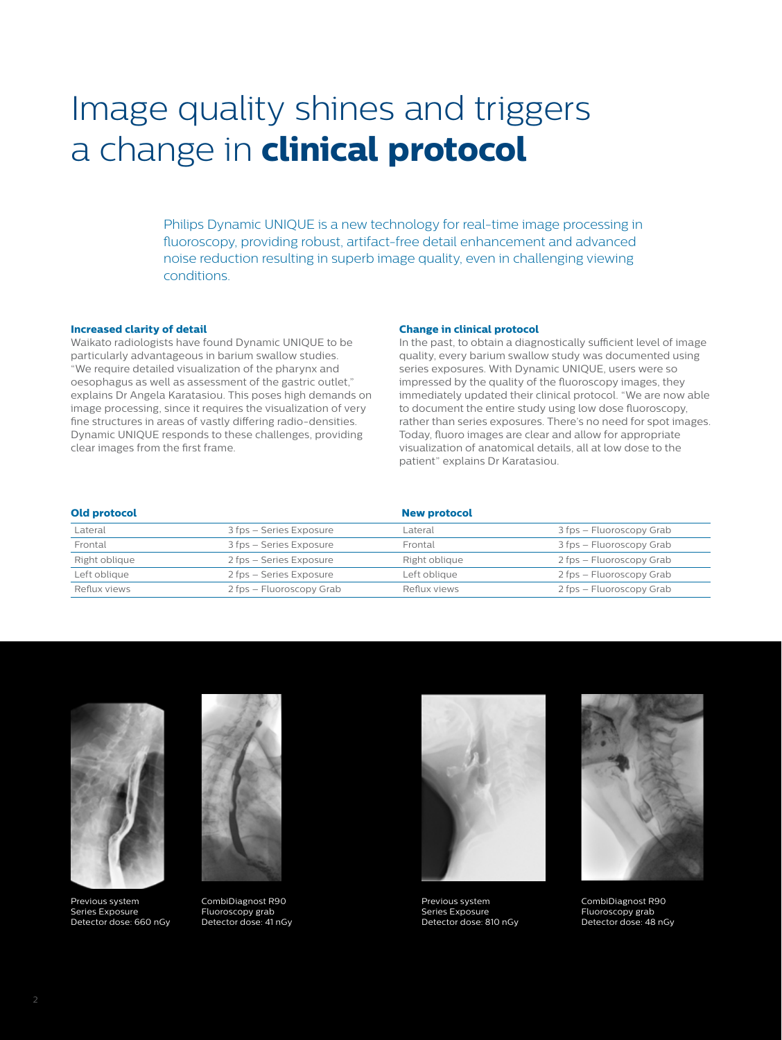# Image quality shines and triggers a change in **clinical protocol**

Philips Dynamic UNIQUE is a new technology for real-time image processing in fluoroscopy, providing robust, artifact-free detail enhancement and advanced noise reduction resulting in superb image quality, even in challenging viewing conditions.

#### **Increased clarity of detail**

Waikato radiologists have found Dynamic UNIQUE to be particularly advantageous in barium swallow studies. "We require detailed visualization of the pharynx and oesophagus as well as assessment of the gastric outlet," explains Dr Angela Karatasiou. This poses high demands on image processing, since it requires the visualization of very fine structures in areas of vastly differing radio-densities. Dynamic UNIQUE responds to these challenges, providing clear images from the first frame.

#### **Change in clinical protocol**

In the past, to obtain a diagnostically sufficient level of image quality, every barium swallow study was documented using series exposures. With Dynamic UNIQUE, users were so impressed by the quality of the fluoroscopy images, they immediately updated their clinical protocol. "We are now able to document the entire study using low dose fluoroscopy, rather than series exposures. There's no need for spot images. Today, fluoro images are clear and allow for appropriate visualization of anatomical details, all at low dose to the patient" explains Dr Karatasiou.

### **Old protocol New protocol**

| $-0.00$ produced $-0.00$ |                          | -------------- |                          |
|--------------------------|--------------------------|----------------|--------------------------|
| Lateral                  | 3 fps - Series Exposure  | Lateral        | 3 fps – Fluoroscopy Grab |
| Frontal                  | 3 fps - Series Exposure  | Frontal        | 3 fps – Fluoroscopy Grab |
| Right oblique            | 2 fps - Series Exposure  | Right oblique  | 2 fps – Fluoroscopy Grab |
| Left oblique             | 2 fps - Series Exposure  | Left oblique   | 2 fps – Fluoroscopy Grab |
| Reflux views             | 2 fps – Fluoroscopy Grab | Reflux views   | 2 fps – Fluoroscopy Grab |



Previous system Series Exposure Detector dose: 660 nGy



CombiDiagnost R90 Fluoroscopy grab Detector dose: 41 nGy



Previous system Series Exposure Detector dose: 810 nGy



CombiDiagnost R90 Fluoroscopy grab Detector dose: 48 nGy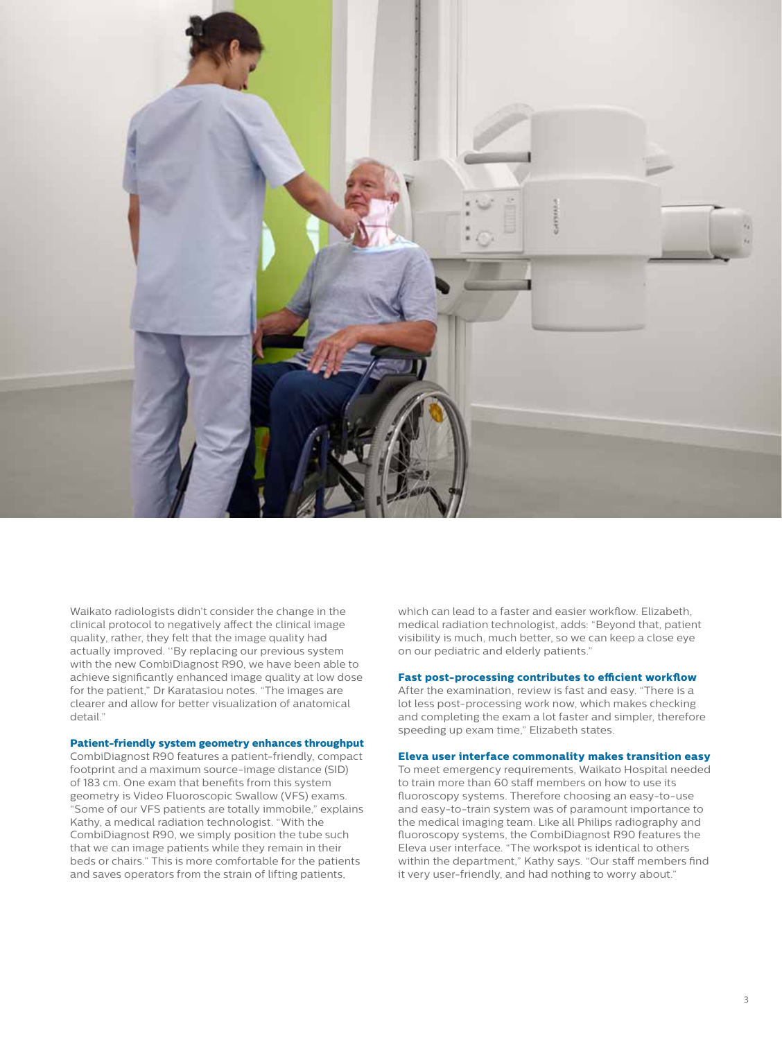

Waikato radiologists didn't consider the change in the clinical protocol to negatively affect the clinical image quality, rather, they felt that the image quality had actually improved. ''By replacing our previous system with the new CombiDiagnost R90, we have been able to achieve significantly enhanced image quality at low dose for the patient," Dr Karatasiou notes. "The images are clearer and allow for better visualization of anatomical detail."

## **Patient-friendly system geometry enhances throughput**

CombiDiagnost R90 features a patient-friendly, compact footprint and a maximum source-image distance (SID) of 183 cm. One exam that benefits from this system geometry is Video Fluoroscopic Swallow (VFS) exams. "Some of our VFS patients are totally immobile," explains Kathy, a medical radiation technologist. "With the CombiDiagnost R90, we simply position the tube such that we can image patients while they remain in their beds or chairs." This is more comfortable for the patients and saves operators from the strain of lifting patients,

which can lead to a faster and easier workflow. Elizabeth, medical radiation technologist, adds: "Beyond that, patient visibility is much, much better, so we can keep a close eye on our pediatric and elderly patients."

## **Fast post-processing contributes to efficient workflow**

After the examination, review is fast and easy. "There is a lot less post-processing work now, which makes checking and completing the exam a lot faster and simpler, therefore speeding up exam time," Elizabeth states.

#### **Eleva user interface commonality makes transition easy**

To meet emergency requirements, Waikato Hospital needed to train more than 60 staff members on how to use its fluoroscopy systems. Therefore choosing an easy-to-use and easy-to-train system was of paramount importance to the medical imaging team. Like all Philips radiography and fluoroscopy systems, the CombiDiagnost R90 features the Eleva user interface. "The workspot is identical to others within the department," Kathy says. "Our staff members find it very user-friendly, and had nothing to worry about."